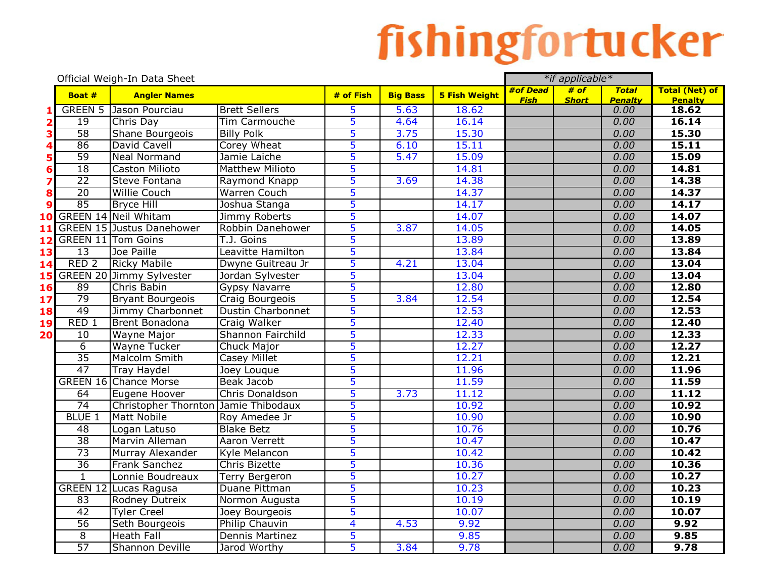|    |                  | Official Weigh-In Data Sheet         |                          |                         |                 |                      |             | *if applicable* |                        |                         |
|----|------------------|--------------------------------------|--------------------------|-------------------------|-----------------|----------------------|-------------|-----------------|------------------------|-------------------------|
|    | Boat #           | <b>Angler Names</b>                  |                          | # of Fish               | <b>Big Bass</b> | <b>5 Fish Weight</b> | #of Dead    | # of            | <b>Total</b>           | <b>Total (Net) of</b>   |
|    |                  | <b>GREEN 5 Jason Pourciau</b>        | <b>Brett Sellers</b>     | 5                       | 5.63            | 18.62                | <b>Fish</b> | <b>Short</b>    | <b>Penalty</b><br>0.00 | <b>Penalty</b><br>18.62 |
|    | 19               | Chris Day                            | Tim Carmouche            | 5                       | 4.64            | 16.14                |             |                 | 0.00                   | 16.14                   |
|    | 58               | Shane Bourgeois                      | <b>Billy Polk</b>        | 5                       | 3.75            | 15.30                |             |                 | 0.00                   | 15.30                   |
|    | 86               | David Cavell                         | Corey Wheat              | 5                       | 6.10            | 15.11                |             |                 | 0.00                   | 15.11                   |
|    | 59               | <b>Neal Normand</b>                  | Jamie Laiche             | 5                       | 5.47            | 15.09                |             |                 | 0.00                   | 15.09                   |
| 6  | $\overline{18}$  | <b>Caston Milioto</b>                | <b>Matthew Milioto</b>   | 5                       |                 | 14.81                |             |                 | 0.00                   | 14.81                   |
|    | $\overline{22}$  | Steve Fontana                        | Raymond Knapp            | 5                       | 3.69            | 14.38                |             |                 | 0.00                   | 14.38                   |
|    | $\overline{20}$  | <b>Willie Couch</b>                  | Warren Couch             | 5                       |                 | 14.37                |             |                 | 0.00                   | 14.37                   |
| 9  | 85               | <b>Bryce Hill</b>                    | Joshua Stanga            | 5                       |                 | 14.17                |             |                 | 0.00                   | 14.17                   |
| 10 |                  | <b>GREEN 14 Neil Whitam</b>          | Jimmy Roberts            | 5                       |                 | 14.07                |             |                 | 0.00                   | 14.07                   |
| 11 |                  | <b>GREEN 15 Justus Danehower</b>     | Robbin Danehower         | 5                       | 3.87            | 14.05                |             |                 | 0.00                   | 14.05                   |
| 12 |                  | <b>GREEN 11 Tom Goins</b>            | T.J. Goins               | 5                       |                 | 13.89                |             |                 | 0.00                   | 13.89                   |
| 13 | 13               | Joe Paille                           | Leavitte Hamilton        | 5                       |                 | 13.84                |             |                 | 0.00                   | 13.84                   |
| 14 | RED <sub>2</sub> | <b>Ricky Mabile</b>                  | Dwyne Guitreau Jr        | 5                       | 4.21            | 13.04                |             |                 | 0.00                   | 13.04                   |
| 15 |                  | <b>GREEN 20 Jimmy Sylvester</b>      | Jordan Sylvester         | 5                       |                 | 13.04                |             |                 | 0.00                   | 13.04                   |
| 16 | 89               | Chris Babin                          | <b>Gypsy Navarre</b>     | 5                       |                 | 12.80                |             |                 | 0.00                   | 12.80                   |
| 17 | 79               | <b>Bryant Bourgeois</b>              | Craig Bourgeois          | 5                       | 3.84            | 12.54                |             |                 | 0.00                   | 12.54                   |
| 18 | 49               | Jimmy Charbonnet                     | <b>Dustin Charbonnet</b> | 5                       |                 | 12.53                |             |                 | 0.00                   | 12.53                   |
| 19 | RED <sub>1</sub> | <b>Brent Bonadona</b>                | Craig Walker             | 5                       |                 | 12.40                |             |                 | 0.00                   | 12.40                   |
| 20 | 10               | <b>Wayne Major</b>                   | Shannon Fairchild        | 5                       |                 | 12.33                |             |                 | 0.00                   | 12.33                   |
|    | $\overline{6}$   | <b>Wayne Tucker</b>                  | <b>Chuck Major</b>       | 5                       |                 | 12.27                |             |                 | 0.00                   | 12.27                   |
|    | 35               | <b>Malcolm Smith</b>                 | <b>Casey Millet</b>      | 5                       |                 | 12.21                |             |                 | 0.00                   | 12.21                   |
|    | 47               | <b>Tray Haydel</b>                   | Joey Louque              | 5                       |                 | 11.96                |             |                 | 0.00                   | 11.96                   |
|    |                  | <b>GREEN 16 Chance Morse</b>         | Beak Jacob               | 5                       |                 | 11.59                |             |                 | 0.00                   | 11.59                   |
|    | 64               | Eugene Hoover                        | Chris Donaldson          | 5                       | 3.73            | 11.12                |             |                 | 0.00                   | 11.12                   |
|    | 74               | Christopher Thornton Jamie Thibodaux |                          | 5                       |                 | 10.92                |             |                 | 0.00                   | 10.92                   |
|    | <b>BLUE 1</b>    | <b>Matt Nobile</b>                   | Roy Amedee Jr            | 5                       |                 | 10.90                |             |                 | 0.00                   | 10.90                   |
|    | 48               | Logan Latuso                         | <b>Blake Betz</b>        | 5                       |                 | 10.76                |             |                 | 0.00                   | 10.76                   |
|    | $\overline{38}$  | Marvin Alleman                       | <b>Aaron Verrett</b>     | 5                       |                 | 10.47                |             |                 | 0.00                   | 10.47                   |
|    | $\overline{73}$  | Murray Alexander                     | Kyle Melancon            | 5                       |                 | 10.42                |             |                 | 0.00                   | 10.42                   |
|    | $\overline{36}$  | Frank Sanchez                        | Chris Bizette            | 5                       |                 | 10.36                |             |                 | 0.00                   | 10.36                   |
|    | $\mathbf{1}$     | Lonnie Boudreaux                     | <b>Terry Bergeron</b>    | 5                       |                 | 10.27                |             |                 | 0.00                   | 10.27                   |
|    |                  | <b>GREEN 12 Lucas Ragusa</b>         | Duane Pittman            | 5                       |                 | 10.23                |             |                 | 0.00                   | 10.23                   |
|    | 83               | Rodney Dutreix                       | Normon Augusta           | 5                       |                 | 10.19                |             |                 | 0.00                   | 10.19                   |
|    | 42               | <b>Tyler Creel</b>                   | Joey Bourgeois           | 5                       |                 | 10.07                |             |                 | 0.00                   | 10.07                   |
|    | 56               | Seth Bourgeois                       | Philip Chauvin           | $\overline{\mathbf{4}}$ | 4.53            | 9.92                 |             |                 | 0.00                   | 9.92                    |
|    | $\overline{8}$   | <b>Heath Fall</b>                    | Dennis Martinez          | 5                       |                 | 9.85                 |             |                 | 0.00                   | 9.85                    |
|    | 57               | <b>Shannon Deville</b>               | Jarod Worthy             | 5                       | 3.84            | 9.78                 |             |                 | 0.00                   | 9.78                    |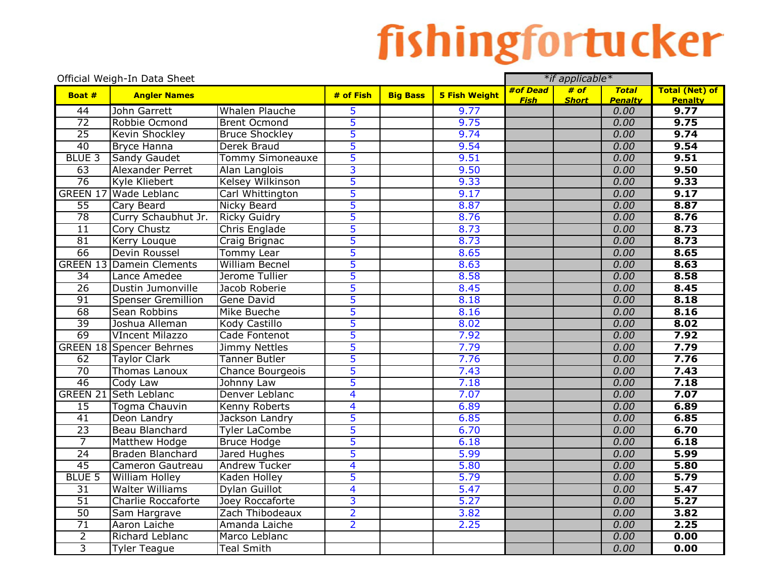|                 | Official Weigh-In Data Sheet    |                         |                         |                 |                      | *if applicable* |              |                        |                        |
|-----------------|---------------------------------|-------------------------|-------------------------|-----------------|----------------------|-----------------|--------------|------------------------|------------------------|
| Boat #          | <b>Angler Names</b>             |                         | # of Fish               | <b>Big Bass</b> | <b>5 Fish Weight</b> | #of Dead        | # of         | <b>Total</b>           | <b>Total (Net) of</b>  |
| 44              | John Garrett                    | <b>Whalen Plauche</b>   | 5                       |                 | 9.77                 | <b>Fish</b>     | <b>Short</b> | <b>Penalty</b><br>0.00 | <b>Penalty</b><br>9.77 |
| $\overline{72}$ | Robbie Ocmond                   | <b>Brent Ocmond</b>     | 5                       |                 | 9.75                 |                 |              | 0.00                   | 9.75                   |
| $\overline{25}$ | Kevin Shockley                  | <b>Bruce Shockley</b>   | 5                       |                 | 9.74                 |                 |              | 0.00                   | 9.74                   |
| 40              | <b>Bryce Hanna</b>              | Derek Braud             | 5                       |                 | 9.54                 |                 |              | 0.00                   | 9.54                   |
| <b>BLUE 3</b>   | <b>Sandy Gaudet</b>             | Tommy Simoneauxe        | 5                       |                 | 9.51                 |                 |              | 0.00                   | 9.51                   |
| 63              | Alexander Perret                | Alan Langlois           | 3                       |                 | 9.50                 |                 |              | 0.00                   | 9.50                   |
| 76              | Kyle Kliebert                   | <b>Kelsey Wilkinson</b> | 5                       |                 | 9.33                 |                 |              | 0.00                   | 9.33                   |
| <b>GREEN 17</b> | Wade Leblanc                    | Carl Whittington        | 5                       |                 | 9.17                 |                 |              | 0.00                   | 9.17                   |
| $\overline{55}$ | Cary Beard                      | <b>Nicky Beard</b>      | 5                       |                 | 8.87                 |                 |              | 0.00                   | 8.87                   |
| 78              | Curry Schaubhut Jr.             | <b>Ricky Guidry</b>     | 5                       |                 | 8.76                 |                 |              | 0.00                   | 8.76                   |
| $\overline{11}$ | <b>Cory Chustz</b>              | Chris Englade           | 5                       |                 | 8.73                 |                 |              | 0.00                   | 8.73                   |
| 81              | <b>Kerry Louque</b>             | Craig Brignac           | 5                       |                 | 8.73                 |                 |              | 0.00                   | 8.73                   |
| 66              | Devin Roussel                   | <b>Tommy Lear</b>       | 5                       |                 | 8.65                 |                 |              | 0.00                   | 8.65                   |
|                 | <b>GREEN 13 Damein Clements</b> | <b>William Becnel</b>   | $\overline{5}$          |                 | 8.63                 |                 |              | 0.00                   | 8.63                   |
| $\overline{34}$ | Lance Amedee                    | Jerome Tullier          | 5                       |                 | 8.58                 |                 |              | 0.00                   | 8.58                   |
| $\overline{26}$ | Dustin Jumonville               | Jacob Roberie           | 5                       |                 | 8.45                 |                 |              | 0.00                   | 8.45                   |
| 91              | <b>Spenser Gremillion</b>       | Gene David              | $\overline{5}$          |                 | 8.18                 |                 |              | 0.00                   | 8.18                   |
| 68              | Sean Robbins                    | Mike Bueche             | $\overline{5}$          |                 | 8.16                 |                 |              | 0.00                   | 8.16                   |
| 39              | Joshua Alleman                  | Kody Castillo           | 5                       |                 | 8.02                 |                 |              | 0.00                   | 8.02                   |
| 69              | <b>VIncent Milazzo</b>          | Cade Fontenot           | 5                       |                 | 7.92                 |                 |              | 0.00                   | 7.92                   |
|                 | <b>GREEN 18 Spencer Behrnes</b> | <b>Jimmy Nettles</b>    | 5                       |                 | 7.79                 |                 |              | 0.00                   | 7.79                   |
| $\overline{62}$ | <b>Taylor Clark</b>             | <b>Tanner Butler</b>    | 5                       |                 | 7.76                 |                 |              | 0.00                   | 7.76                   |
| $\overline{70}$ | Thomas Lanoux                   | <b>Chance Bourgeois</b> | 5                       |                 | 7.43                 |                 |              | 0.00                   | 7.43                   |
| 46              | Cody Law                        | Johnny Law              | 5                       |                 | 7.18                 |                 |              | 0.00                   | 7.18                   |
| <b>GREEN 21</b> | Seth Leblanc                    | Denver Leblanc          | 4                       |                 | 7.07                 |                 |              | 0.00                   | 7.07                   |
| 15              | Togma Chauvin                   | Kenny Roberts           | 4                       |                 | 6.89                 |                 |              | 0.00                   | 6.89                   |
| 41              | Deon Landry                     | Jackson Landry          | 5                       |                 | 6.85                 |                 |              | 0.00                   | 6.85                   |
| $\overline{23}$ | Beau Blanchard                  | <b>Tyler LaCombe</b>    | 5                       |                 | 6.70                 |                 |              | 0.00                   | 6.70                   |
| $\overline{7}$  | Matthew Hodge                   | <b>Bruce Hodge</b>      | 5                       |                 | 6.18                 |                 |              | 0.00                   | 6.18                   |
| $\overline{24}$ | Braden Blanchard                | Jared Hughes            | 5                       |                 | 5.99                 |                 |              | 0.00                   | 5.99                   |
| 45              | Cameron Gautreau                | <b>Andrew Tucker</b>    | 4                       |                 | 5.80                 |                 |              | 0.00                   | 5.80                   |
| <b>BLUE 5</b>   | <b>William Holley</b>           | Kaden Holley            | 5                       |                 | 5.79                 |                 |              | 0.00                   | 5.79                   |
| $\overline{31}$ | <b>Walter Williams</b>          | Dylan Guillot           | $\overline{\mathbf{4}}$ |                 | 5.47                 |                 |              | 0.00                   | 5.47                   |
| $\overline{51}$ | <b>Charlie Roccaforte</b>       | Joey Roccaforte         | 3                       |                 | 5.27                 |                 |              | 0.00                   | 5.27                   |
| 50              | Sam Hargrave                    | Zach Thibodeaux         | $\overline{2}$          |                 | 3.82                 |                 |              | 0.00                   | 3.82                   |
| $\overline{71}$ | Aaron Laiche                    | Amanda Laiche           | $\overline{2}$          |                 | 2.25                 |                 |              | 0.00                   | 2.25                   |
| $\overline{2}$  | Richard Leblanc                 | Marco Leblanc           |                         |                 |                      |                 |              | 0.00                   | 0.00                   |
| $\overline{3}$  | <b>Tyler Teague</b>             | <b>Teal Smith</b>       |                         |                 |                      |                 |              | 0.00                   | 0.00                   |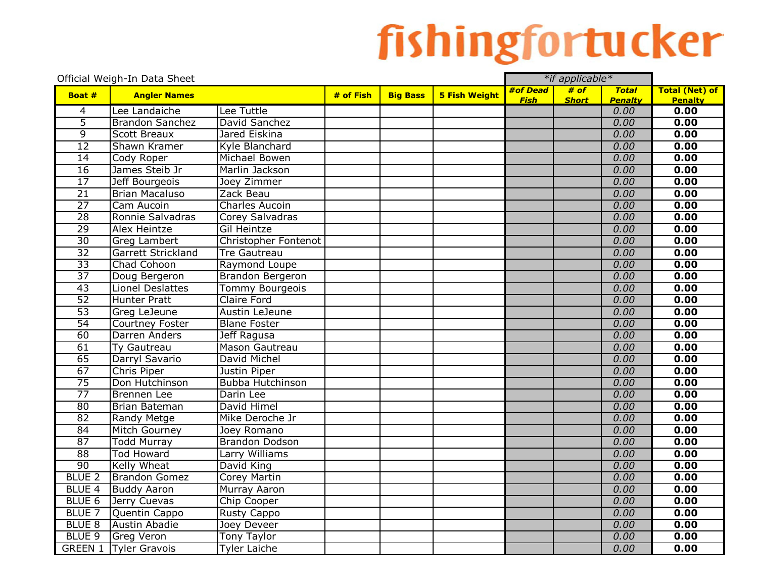|                   | Official Weigh-In Data Sheet               |                                      |           |                 |                      | *if applicable* |              |                        |                        |
|-------------------|--------------------------------------------|--------------------------------------|-----------|-----------------|----------------------|-----------------|--------------|------------------------|------------------------|
| Boat #            | <b>Angler Names</b>                        |                                      | # of Fish | <b>Big Bass</b> | <b>5 Fish Weight</b> | #of Dead        | # of         | <b>Total</b>           | <b>Total (Net) of</b>  |
| 4                 | Lee Landaiche                              | Lee Tuttle                           |           |                 |                      | <b>Fish</b>     | <b>Short</b> | <b>Penalty</b><br>0.00 | <b>Penalty</b><br>0.00 |
| 5                 | <b>Brandon Sanchez</b>                     | David Sanchez                        |           |                 |                      |                 |              | 0.00                   | 0.00                   |
| 9                 | <b>Scott Breaux</b>                        | Jared Eiskina                        |           |                 |                      |                 |              | 0.00                   | 0.00                   |
| 12                | Shawn Kramer                               | Kyle Blanchard                       |           |                 |                      |                 |              | 0.00                   | 0.00                   |
| $\overline{14}$   | Cody Roper                                 | Michael Bowen                        |           |                 |                      |                 |              | 0.00                   | 0.00                   |
| 16                | James Steib Jr                             | Marlin Jackson                       |           |                 |                      |                 |              | 0.00                   | 0.00                   |
| 17                | Jeff Bourgeois                             | Joey Zimmer                          |           |                 |                      |                 |              | 0.00                   | 0.00                   |
| 21                | <b>Brian Macaluso</b>                      | Zack Beau                            |           |                 |                      |                 |              | 0.00                   | 0.00                   |
| $\overline{27}$   | Cam Aucoin                                 | <b>Charles Aucoin</b>                |           |                 |                      |                 |              | 0.00                   | 0.00                   |
| 28                | Ronnie Salvadras                           | Corey Salvadras                      |           |                 |                      |                 |              | 0.00                   | 0.00                   |
| $\overline{29}$   | <b>Alex Heintze</b>                        | Gil Heintze                          |           |                 |                      |                 |              | 0.00                   | 0.00                   |
| $\overline{30}$   | <b>Greg Lambert</b>                        | Christopher Fontenot                 |           |                 |                      |                 |              | 0.00                   | 0.00                   |
| $\overline{32}$   | Garrett Strickland                         | <b>Tre Gautreau</b>                  |           |                 |                      |                 |              | 0.00                   | 0.00                   |
| $\overline{33}$   | Chad Cohoon                                | Raymond Loupe                        |           |                 |                      |                 |              | 0.00                   | 0.00                   |
| $\overline{37}$   | Doug Bergeron                              | Brandon Bergeron                     |           |                 |                      |                 |              | 0.00                   | 0.00                   |
| $\overline{43}$   | <b>Lionel Deslattes</b>                    | <b>Tommy Bourgeois</b>               |           |                 |                      |                 |              | 0.00                   | 0.00                   |
| 52                | Hunter Pratt                               | Claire Ford                          |           |                 |                      |                 |              | 0.00                   | 0.00                   |
| $\overline{53}$   | Greg LeJeune                               | Austin LeJeune                       |           |                 |                      |                 |              | 0.00                   | 0.00                   |
| $\overline{54}$   |                                            |                                      |           |                 |                      |                 |              | 0.00                   | 0.00                   |
| 60                | Courtney Foster<br>Darren Anders           | <b>Blane Foster</b><br>Jeff Ragusa   |           |                 |                      |                 |              | 0.00                   | 0.00                   |
| 61                |                                            |                                      |           |                 |                      |                 |              | 0.00                   | 0.00                   |
| 65                | Ty Gautreau                                | Mason Gautreau                       |           |                 |                      |                 |              | 0.00                   |                        |
|                   | Darryl Savario                             | David Michel                         |           |                 |                      |                 |              |                        | 0.00                   |
| 67<br>75          | Chris Piper                                | Justin Piper                         |           |                 |                      |                 |              | 0.00<br>0.00           | 0.00<br>0.00           |
| $\overline{77}$   | Don Hutchinson                             | Bubba Hutchinson                     |           |                 |                      |                 |              | 0.00                   | 0.00                   |
| 80                | <b>Brennen</b> Lee<br><b>Brian Bateman</b> | Darin Lee                            |           |                 |                      |                 |              | 0.00                   | 0.00                   |
| 82                |                                            | David Himel<br>Mike Deroche Jr       |           |                 |                      |                 |              | 0.00                   | 0.00                   |
| 84                | <b>Randy Metge</b>                         |                                      |           |                 |                      |                 |              | 0.00                   | 0.00                   |
| 87                | <b>Mitch Gourney</b>                       | Joey Romano<br><b>Brandon Dodson</b> |           |                 |                      |                 |              | 0.00                   | 0.00                   |
| 88                | <b>Todd Murray</b><br><b>Tod Howard</b>    |                                      |           |                 |                      |                 |              | 0.00                   | 0.00                   |
| 90                |                                            | Larry Williams                       |           |                 |                      |                 |              |                        |                        |
| <b>BLUE 2</b>     | <b>Kelly Wheat</b>                         | David King                           |           |                 |                      |                 |              | 0.00<br>0.00           | 0.00                   |
|                   | <b>Brandon Gomez</b>                       | <b>Corey Martin</b>                  |           |                 |                      |                 |              |                        | 0.00                   |
| <b>BLUE 4</b>     | <b>Buddy Aaron</b>                         | <b>Murray Aaron</b>                  |           |                 |                      |                 |              | 0.00                   | 0.00                   |
| BLUE <sub>6</sub> | Jerry Cuevas                               | Chip Cooper                          |           |                 |                      |                 |              | 0.00                   | 0.00                   |
| BLUE <sub>7</sub> | Quentin Cappo                              | <b>Rusty Cappo</b>                   |           |                 |                      |                 |              | 0.00                   | 0.00                   |
| <b>BLUE 8</b>     | <b>Austin Abadie</b>                       | Joey Deveer                          |           |                 |                      |                 |              | 0.00                   | 0.00                   |
| BLUE <sub>9</sub> | <b>Greg Veron</b>                          | Tony Taylor                          |           |                 |                      |                 |              | 0.00                   | 0.00                   |
|                   | <b>GREEN 1 Tyler Gravois</b>               | <b>Tyler Laiche</b>                  |           |                 |                      |                 |              | 0.00                   | 0.00                   |